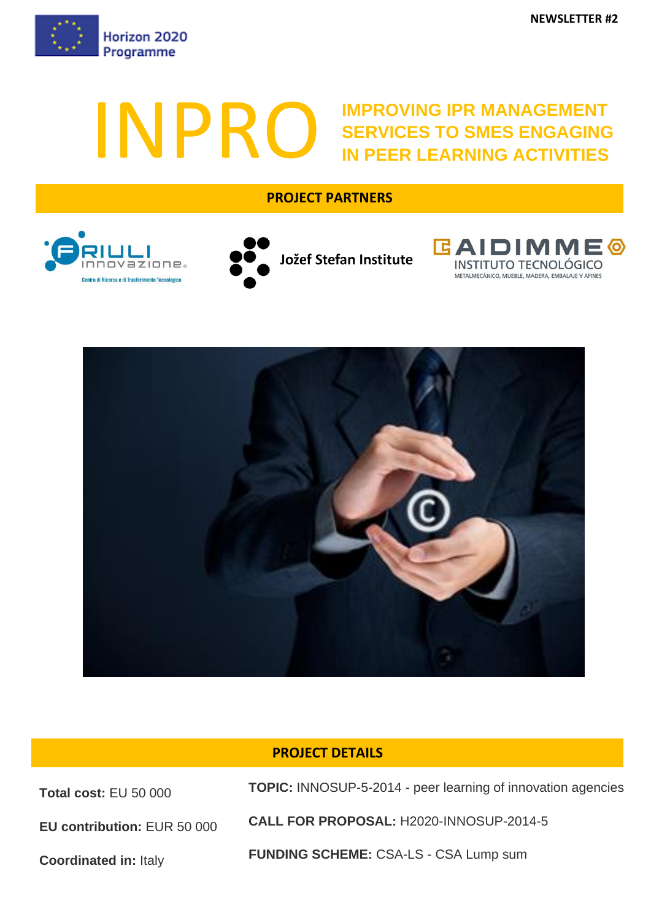

# INPROVING IPR MANAGEMENT SERVICES TO SMES ENGAGING **SERVICES TO SMES ENGAGING IN PEER LEARNING ACTIVITIES**

## **PROJECT PARTNERS**









## **PROJECT DETAILS**

**Total cost:** EU 50 000

**TOPIC:** INNOSUP-5-2014 - peer learning of innovation agencies

**EU contribution:** EUR 50 000

**Coordinated in:** Italy

**CALL FOR PROPOSAL:** H2020-INNOSUP-2014-5

**FUNDING SCHEME:** CSA-LS - CSA Lump sum